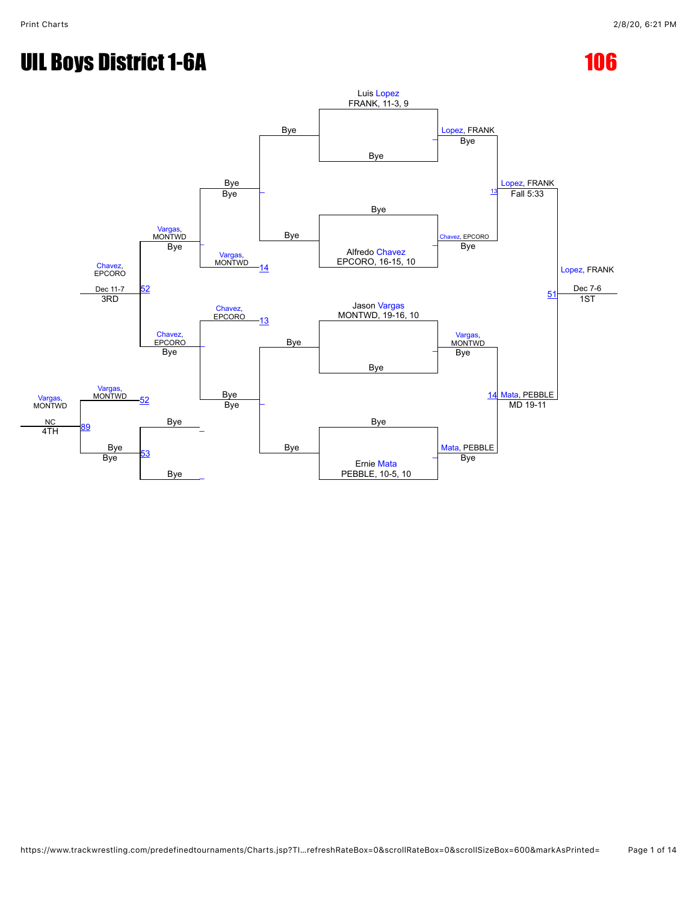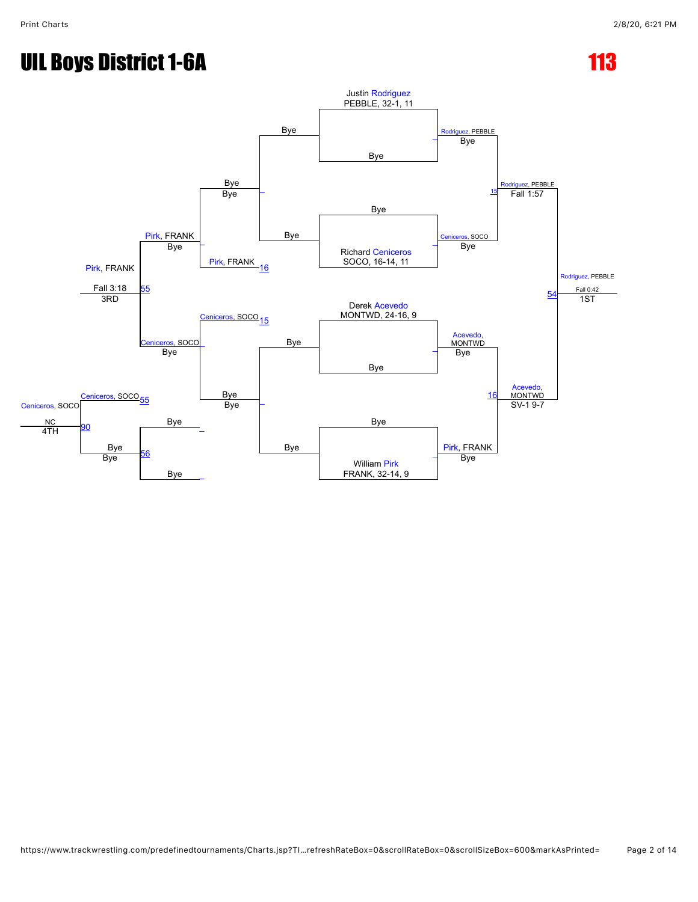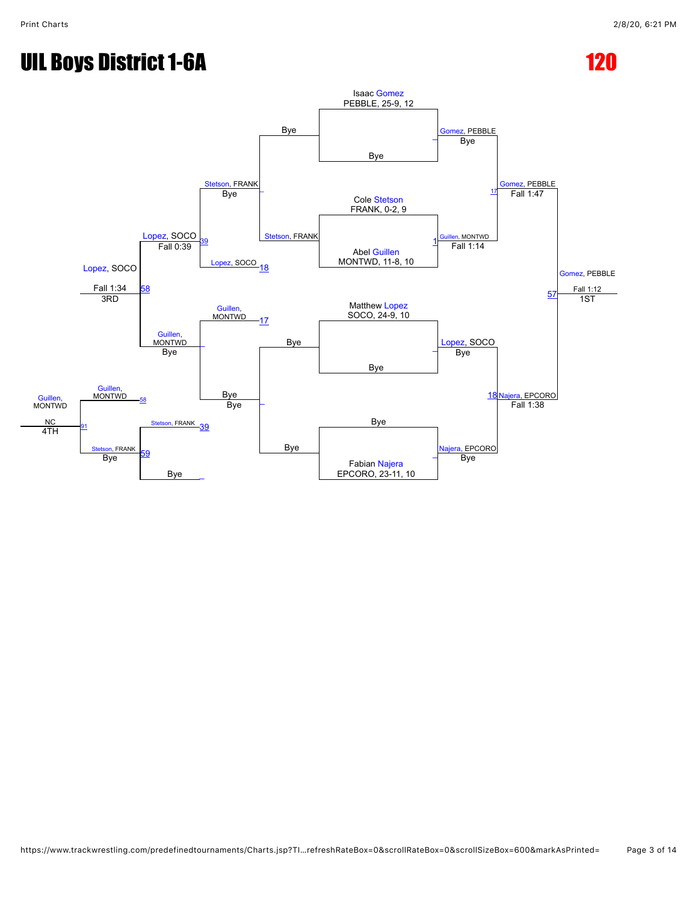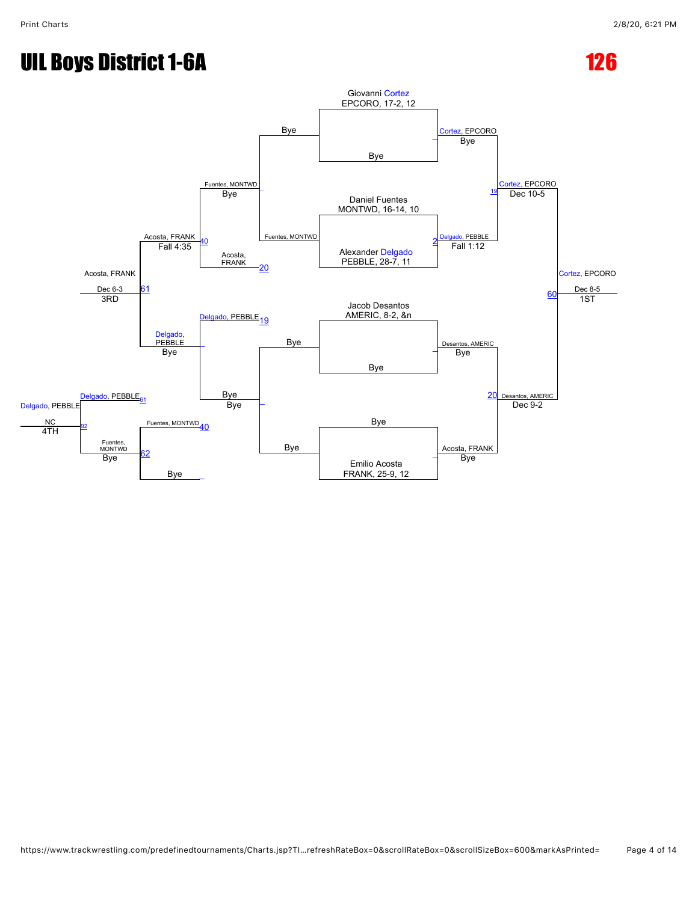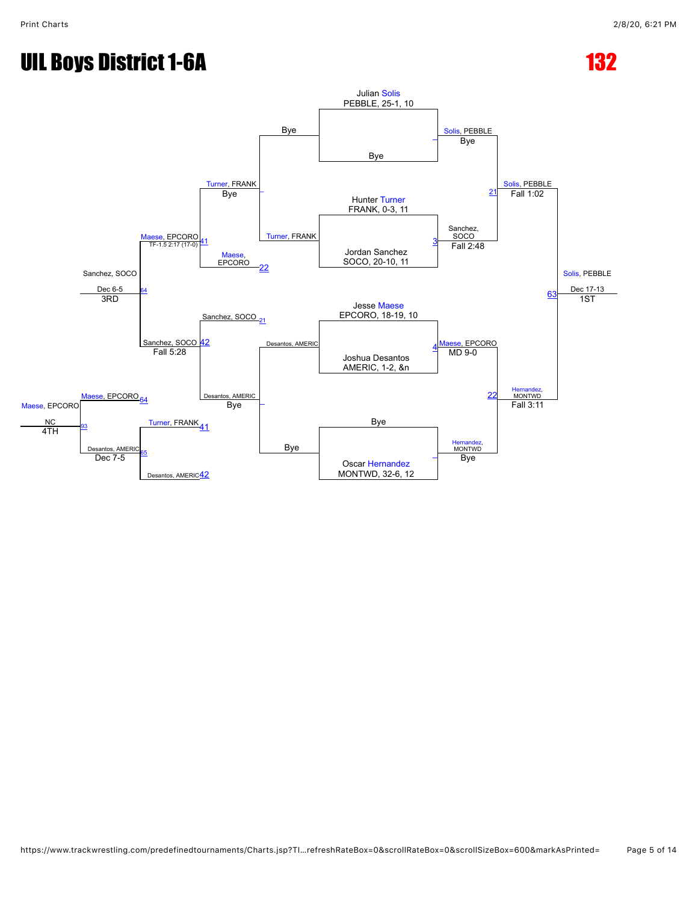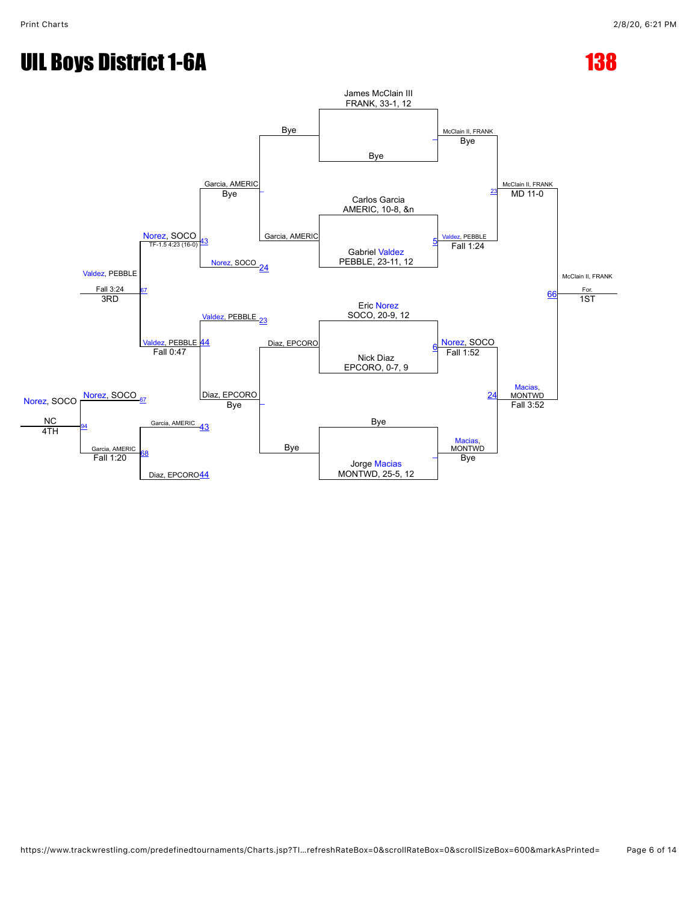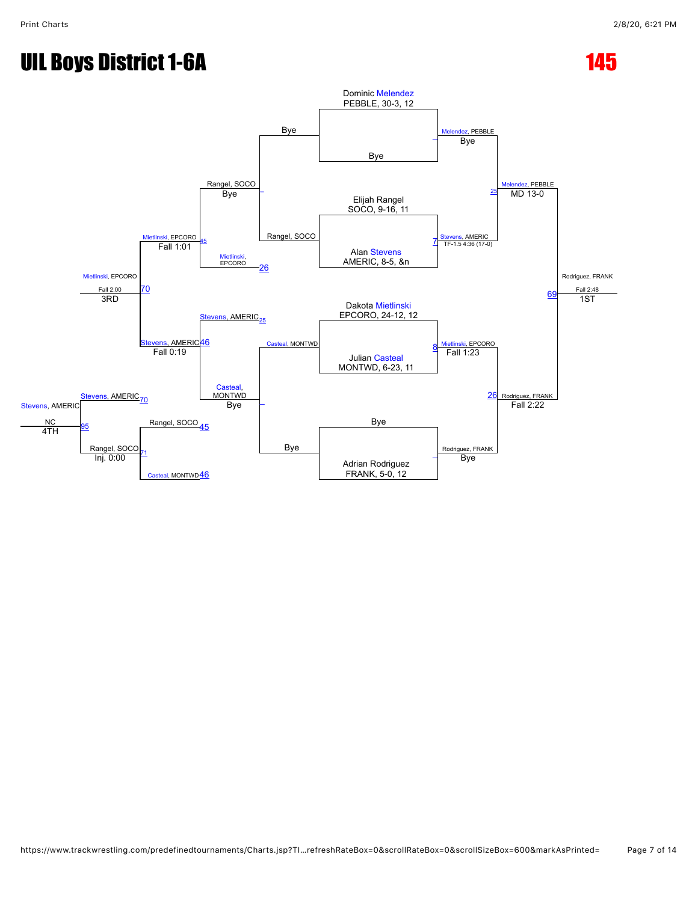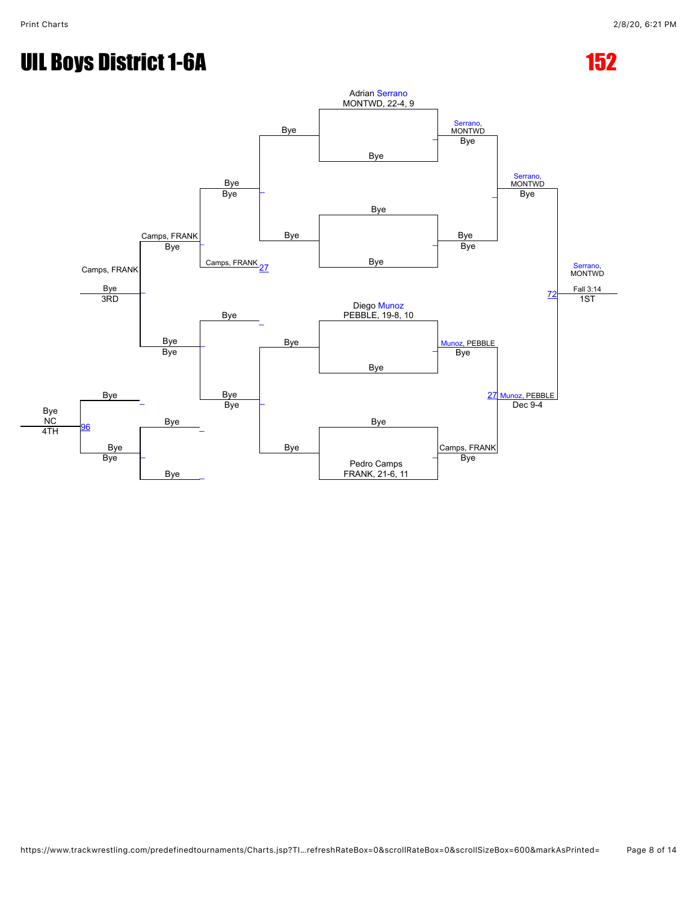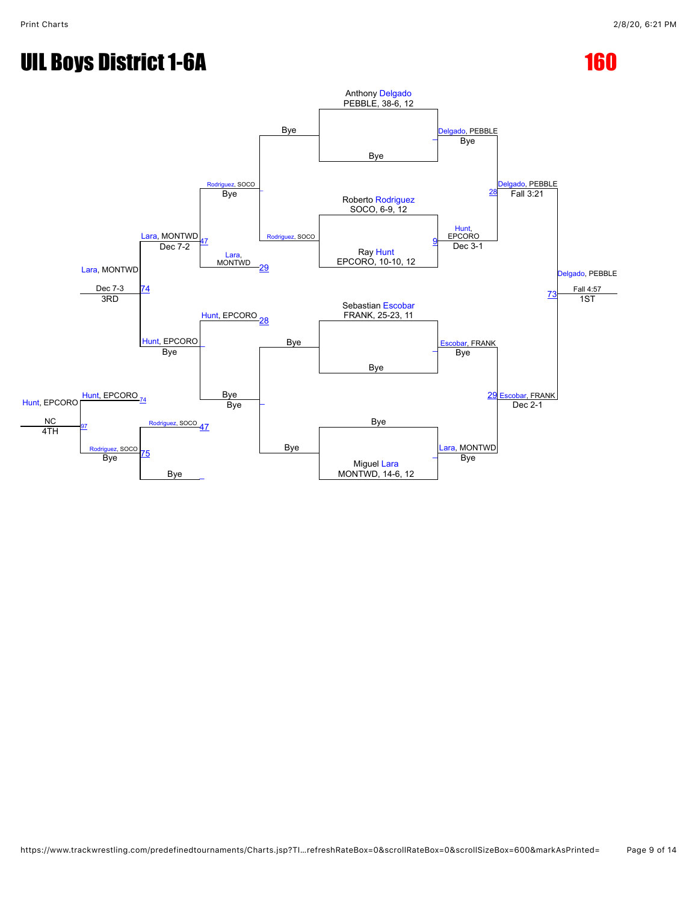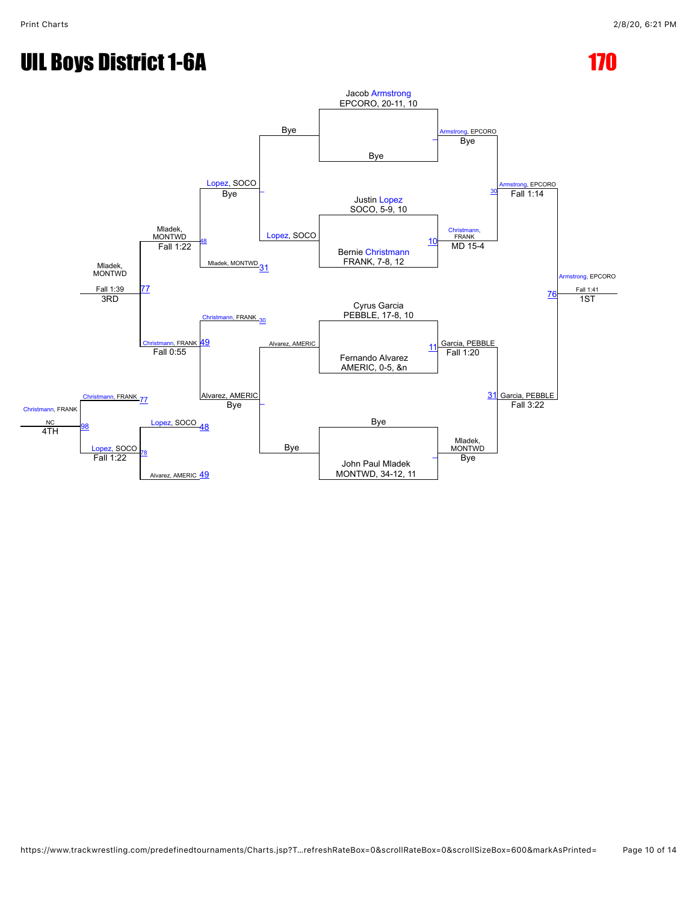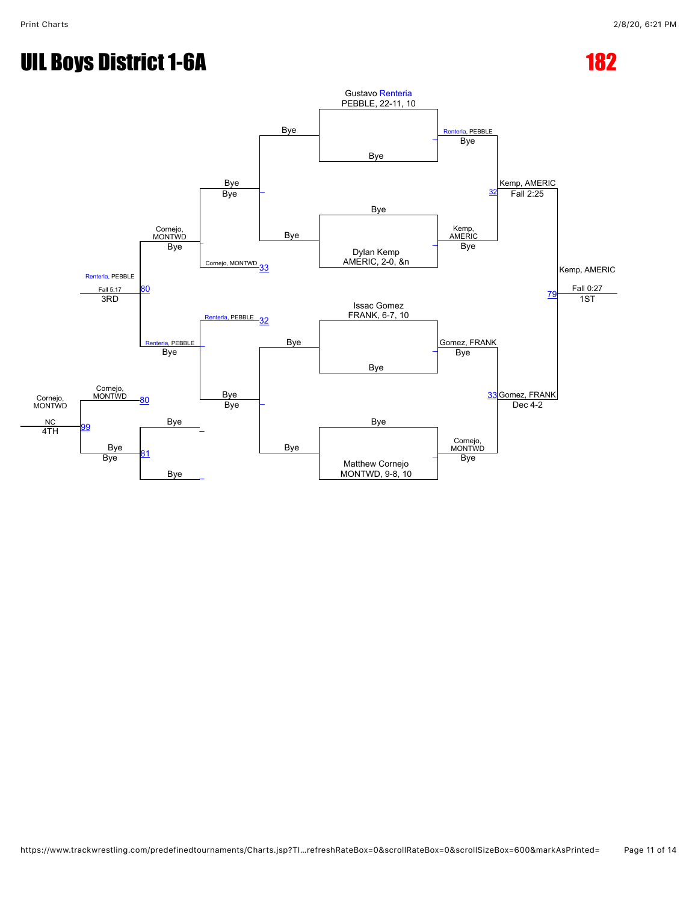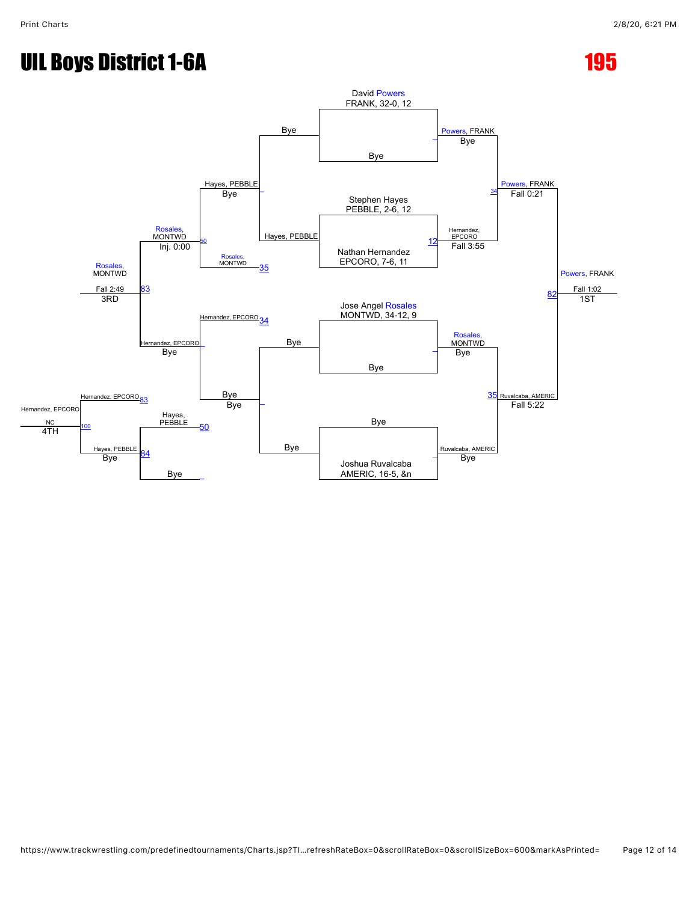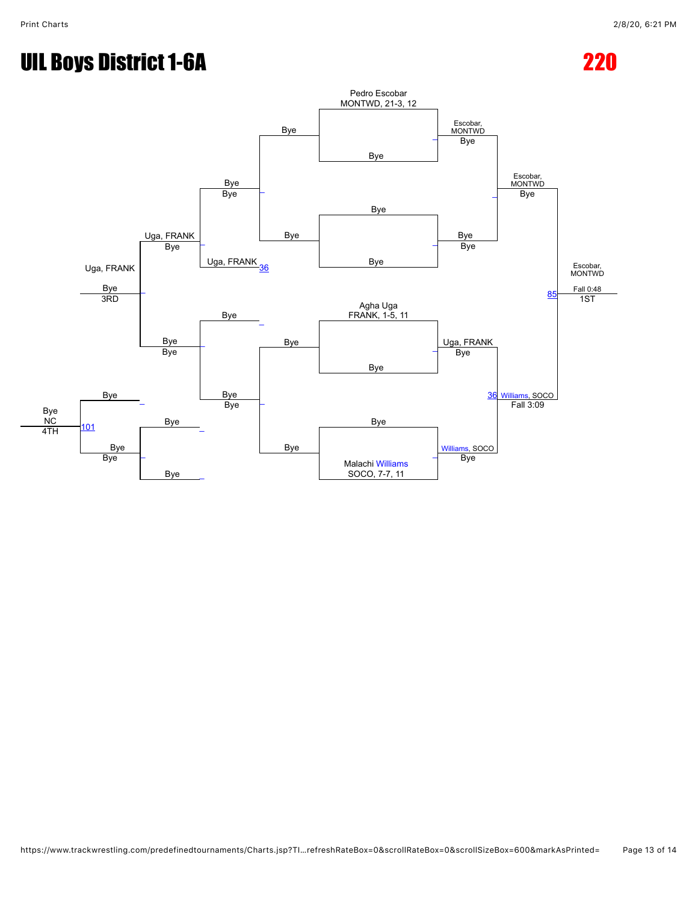